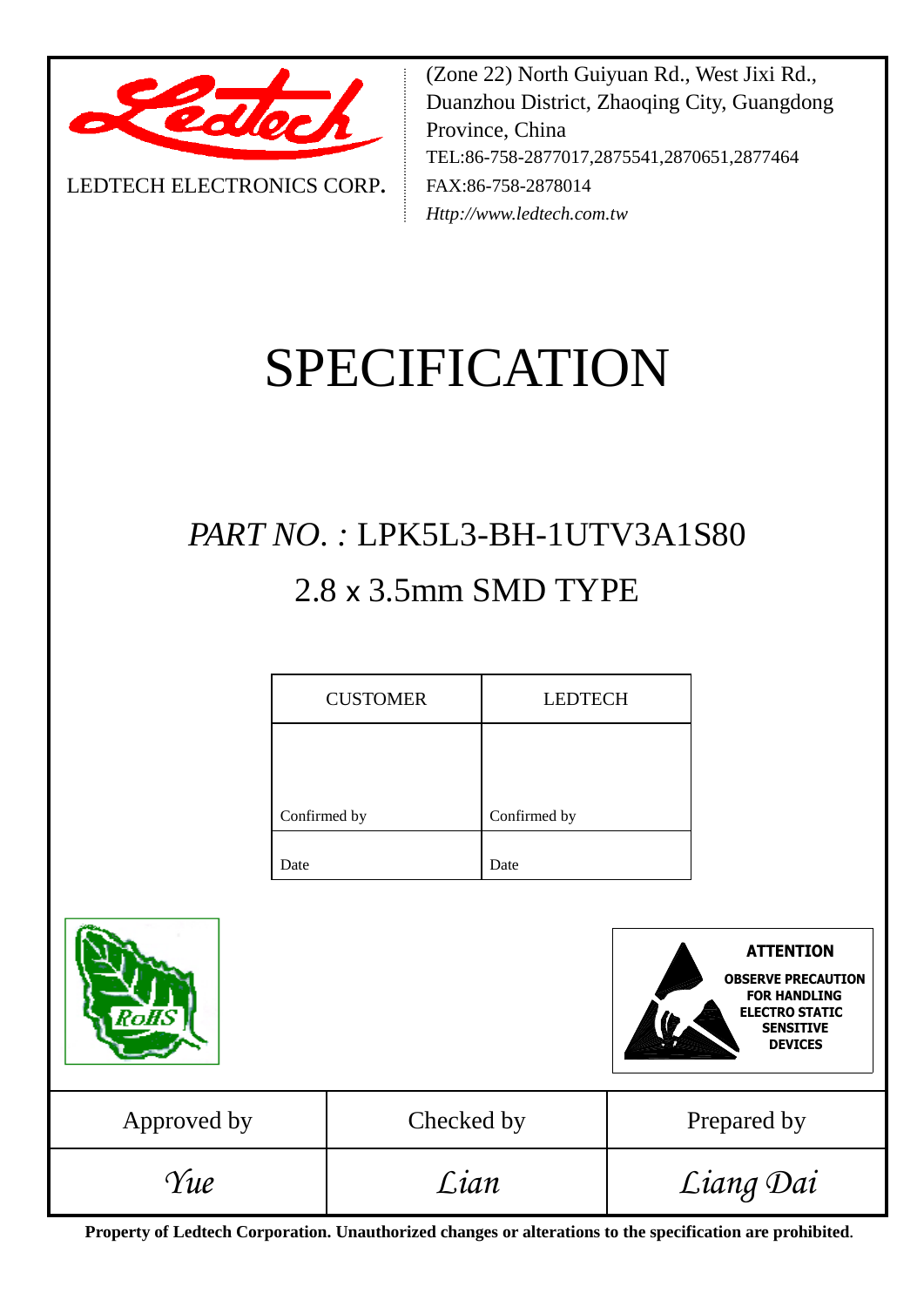

LEDTECH ELECTRONICS CORP**.**

(Zone 22) North Guiyuan Rd., West Jixi Rd., Duanzhou District, Zhaoqing City, Guangdong Province, China TEL:86-758-2877017,2875541,2870651,2877464 FAX:86-758-2878014 *Http://www.ledtech.com.tw*

# SPECIFICATION

## *PART NO. :* LPK5L3-BH-1UTV3A1S80 2.8 x 3.5mm SMD TYPE

| <b>CUSTOMER</b> | <b>LEDTECH</b> |
|-----------------|----------------|
|                 |                |
| Confirmed by    | Confirmed by   |
|                 |                |
| Date            | Date           |



**Property of Ledtech Corporation. Unauthorized changes or alterations to the specification are prohibited***.*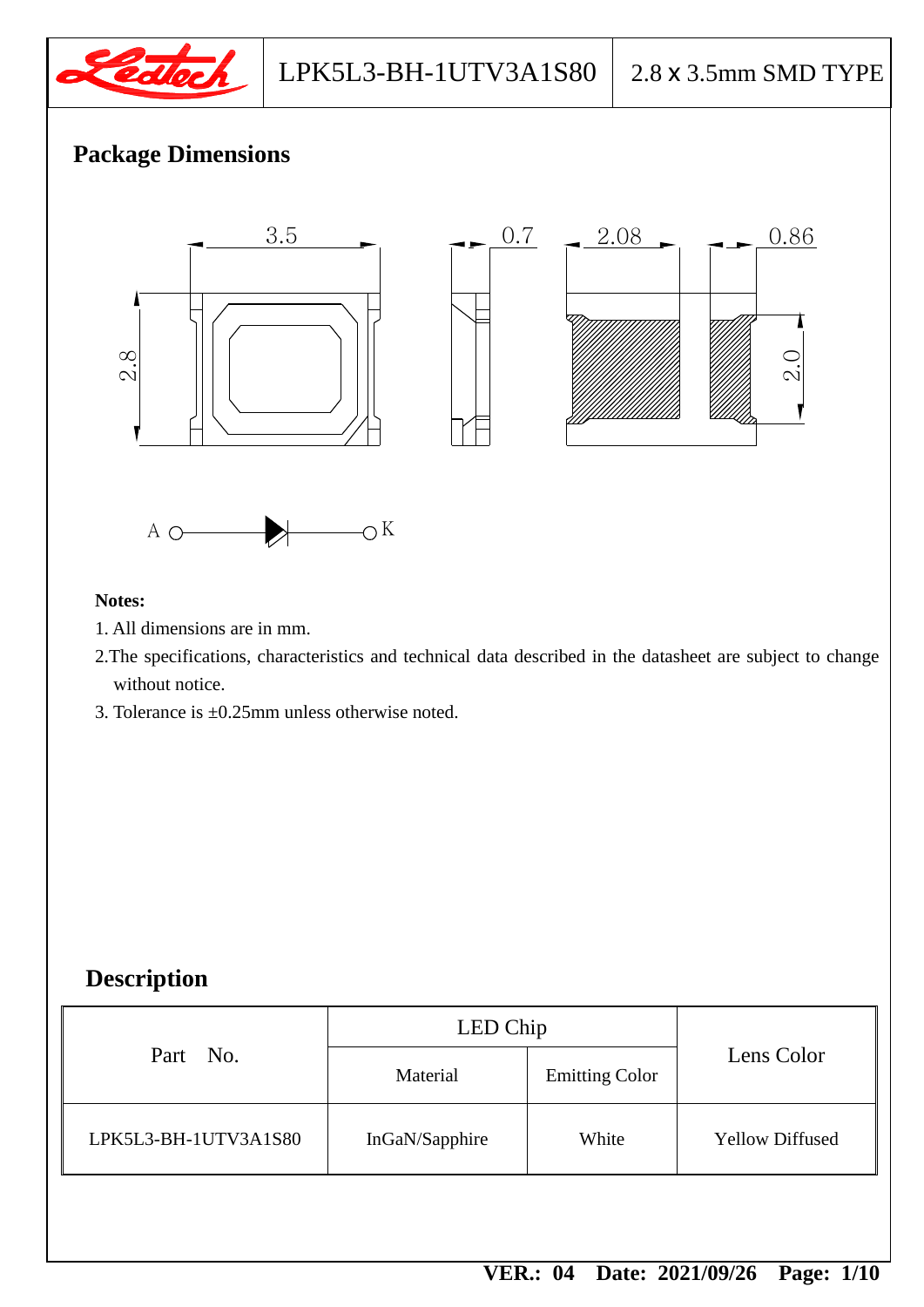

## **Package Dimensions**



#### **Notes:**

- 1. All dimensions are in mm.
- 2.The specifications, characteristics and technical data described in the datasheet are subject to change without notice.
- 3. Tolerance is  $\pm 0.25$ mm unless otherwise noted.

## **Description**

|                                     | LED Chip       | Part No.             |  |
|-------------------------------------|----------------|----------------------|--|
| Lens Color<br><b>Emitting Color</b> | Material       |                      |  |
| <b>Yellow Diffused</b><br>White     | InGaN/Sapphire | LPK5L3-BH-1UTV3A1S80 |  |
|                                     |                |                      |  |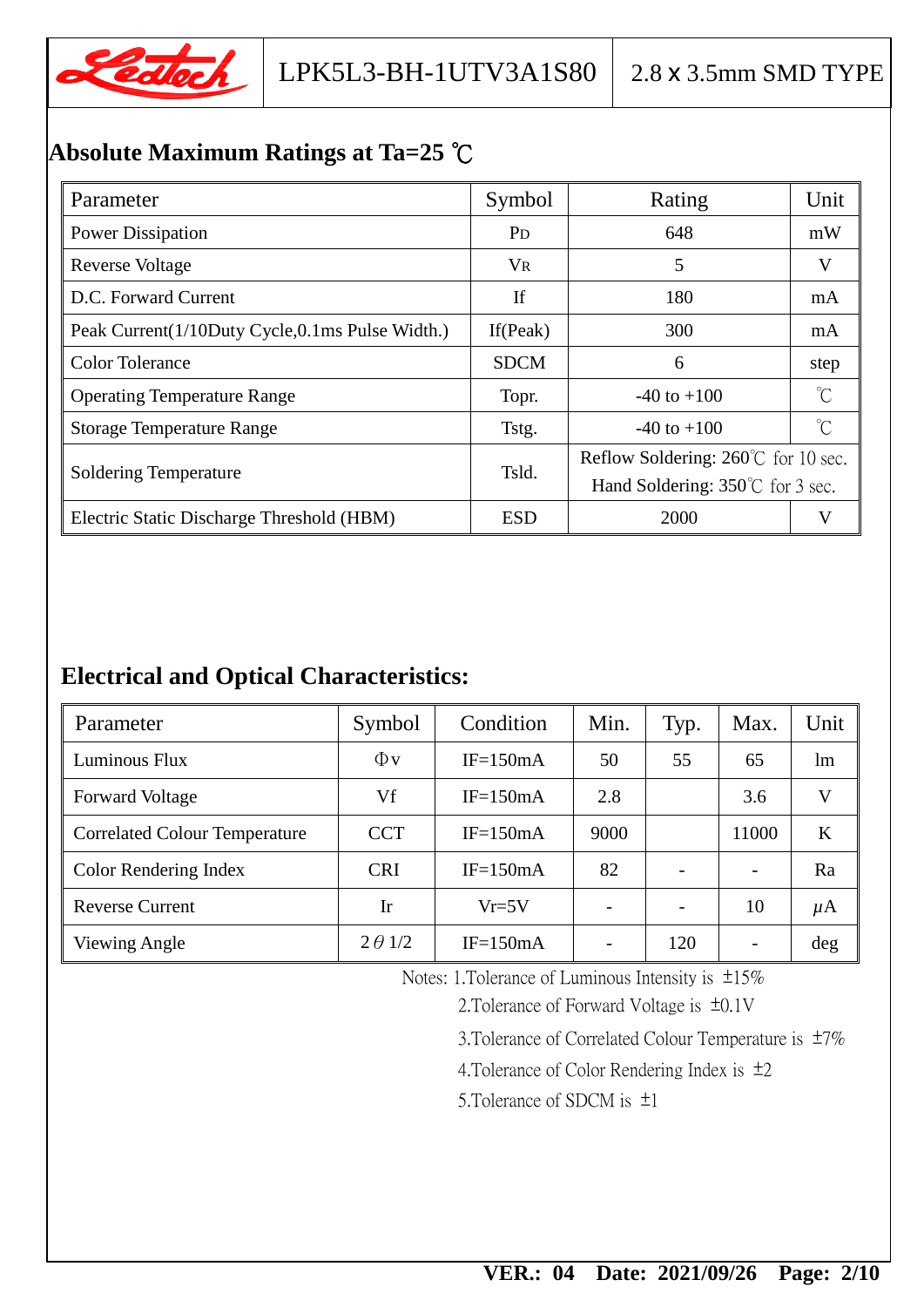

## **Absolute Maximum Ratings at Ta=25** ℃

| Parameter                                       | Symbol                | Rating                                     | Unit |  |
|-------------------------------------------------|-----------------------|--------------------------------------------|------|--|
| <b>Power Dissipation</b>                        | <b>P</b> <sub>D</sub> | 648                                        | mW   |  |
| <b>Reverse Voltage</b>                          | <b>VR</b>             | 5                                          | V    |  |
| D.C. Forward Current                            | If                    | 180                                        | mA   |  |
| Peak Current(1/10Duty Cycle,0.1ms Pulse Width.) | If $(Peak)$           | 300                                        | mA   |  |
| <b>Color Tolerance</b>                          | <b>SDCM</b>           | 6                                          | step |  |
| <b>Operating Temperature Range</b>              | Topr.                 | $-40$ to $+100$                            |      |  |
| <b>Storage Temperature Range</b>                | Tstg.                 | $-40$ to $+100$                            | °C   |  |
|                                                 | Tsld.                 | Reflow Soldering: 260°C for 10 sec.        |      |  |
| <b>Soldering Temperature</b>                    |                       | Hand Soldering: $350^{\circ}$ C for 3 sec. |      |  |
| Electric Static Discharge Threshold (HBM)       | <b>ESD</b>            | 2000                                       | V    |  |

## **Electrical and Optical Characteristics:**

| Parameter                            | Symbol         | Condition  | Min. | Typ. | Max.  | Unit    |
|--------------------------------------|----------------|------------|------|------|-------|---------|
| Luminous Flux                        | $\Phi$ v       | $IF=150mA$ | 50   | 55   | 65    | lm      |
| <b>Forward Voltage</b>               | Vf             | $IF=150mA$ | 2.8  |      | 3.6   | V       |
| <b>Correlated Colour Temperature</b> | <b>CCT</b>     | $IF=150mA$ | 9000 |      | 11000 | K       |
| <b>Color Rendering Index</b>         | <b>CRI</b>     | $IF=150mA$ | 82   |      |       | Ra      |
| <b>Reverse Current</b>               | Ir             | $Vr=5V$    |      |      | 10    | $\mu$ A |
| Viewing Angle                        | $2 \theta$ 1/2 | $IF=150mA$ |      | 120  |       | deg     |

Notes: 1.Tolerance of Luminous Intensity is ±15%

2.Tolerance of Forward Voltage is ±0.1V

3.Tolerance of Correlated Colour Temperature is ±7%

4.Tolerance of Color Rendering Index is ±2

5.Tolerance of SDCM is ±1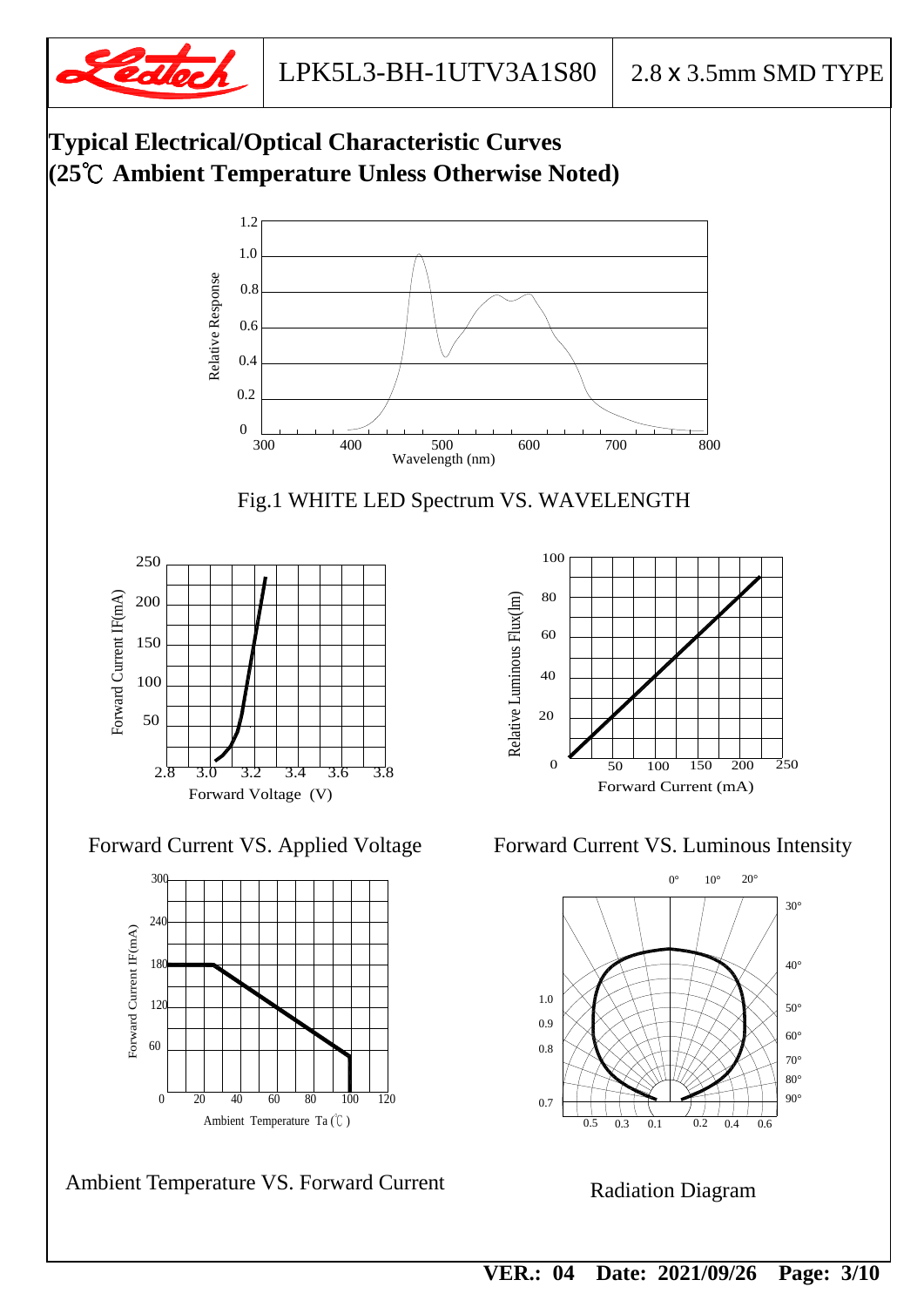





Ambient Temperature Ta (℃ ) 0 20 40 60 80 100 120

 **VER.: 04 Date: 2021/09/26 Page: 3/10**

Radiation Diagram

0.5 0.1 0.3

0.7

80° 90°

 $0.2$  0.4 0.6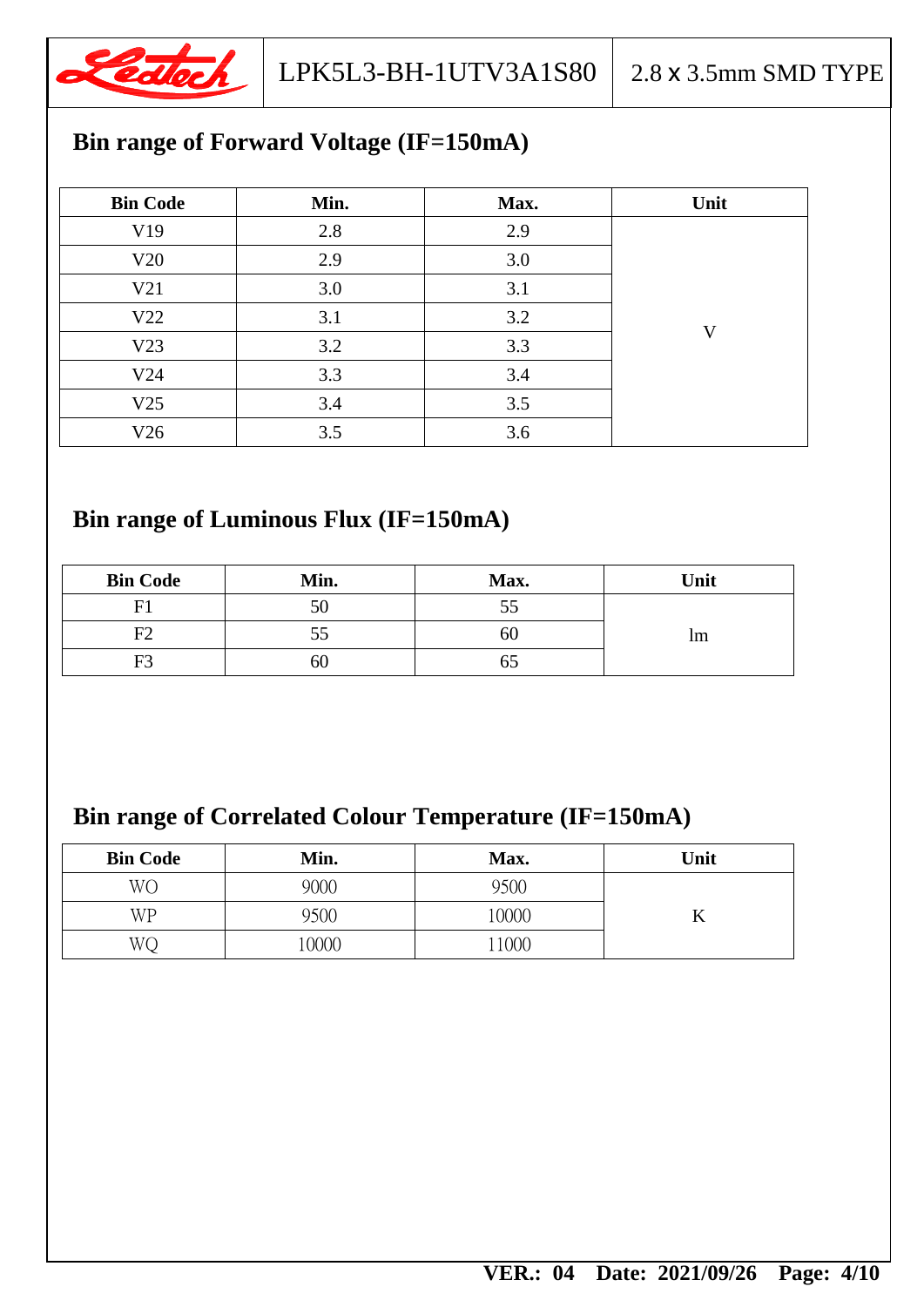

## **Bin range of Forward Voltage (IF=150mA)**

| <b>Bin Code</b> | Min. | Max. | Unit |
|-----------------|------|------|------|
| V19             | 2.8  | 2.9  |      |
| V20             | 2.9  | 3.0  |      |
| V21             | 3.0  | 3.1  |      |
| V <sub>22</sub> | 3.1  | 3.2  | V    |
| V23             | 3.2  | 3.3  |      |
| V24             | 3.3  | 3.4  |      |
| V25             | 3.4  | 3.5  |      |
| V26             | 3.5  | 3.6  |      |

## **Bin range of Luminous Flux (IF=150mA)**

| <b>Bin Code</b> | Min. | Max. | Unit          |
|-----------------|------|------|---------------|
|                 | 50   |      |               |
| F2              | СC   | OU   | <sub>lm</sub> |
| F3              | 60   |      |               |

## **Bin range of Correlated Colour Temperature (IF=150mA)**

| <b>Bin Code</b> | Min. | Max.  | Unit |
|-----------------|------|-------|------|
| <b>WO</b>       | 9000 | 9500  |      |
| WP              | 9500 | 10000 |      |
| WС              | 0000 | 1000  |      |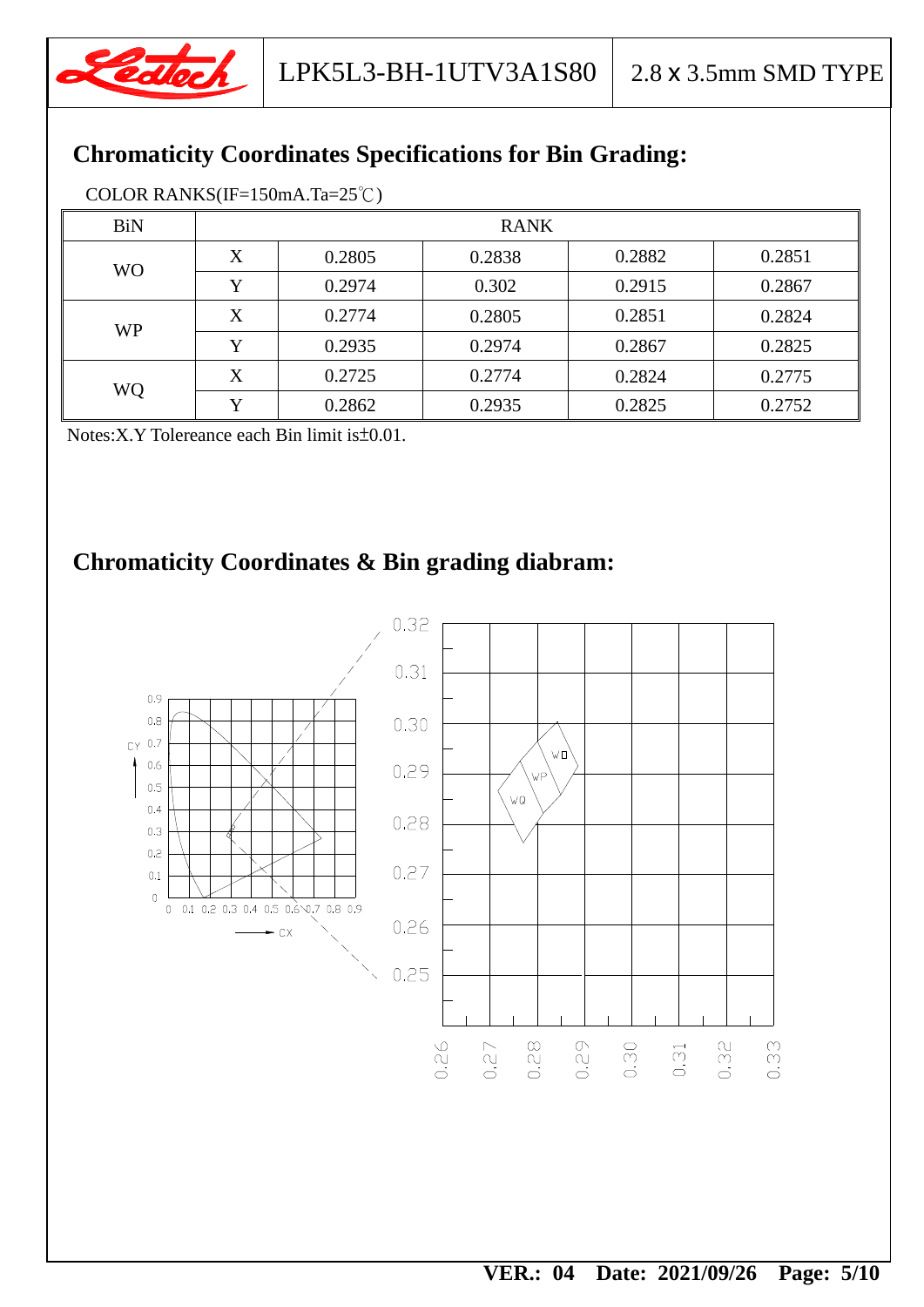

## **Chromaticity Coordinates Specifications for Bin Grading:**

| COLOR RANKS(IF=150mA.Ta= $25^{\circ}$ C) |  |
|------------------------------------------|--|
|------------------------------------------|--|

| <b>BiN</b> | <b>RANK</b> |        |        |        |        |
|------------|-------------|--------|--------|--------|--------|
| <b>WO</b>  | X           | 0.2805 | 0.2838 | 0.2882 | 0.2851 |
|            | Y           | 0.2974 | 0.302  | 0.2915 | 0.2867 |
| <b>WP</b>  | X           | 0.2774 | 0.2805 | 0.2851 | 0.2824 |
|            | Y           | 0.2935 | 0.2974 | 0.2867 | 0.2825 |
|            | X           | 0.2725 | 0.2774 | 0.2824 | 0.2775 |
| WQ         |             | 0.2862 | 0.2935 | 0.2825 | 0.2752 |

Notes:X.Y Tolereance each Bin limit is±0.01.

## **Chromaticity Coordinates & Bin grading diabram:**

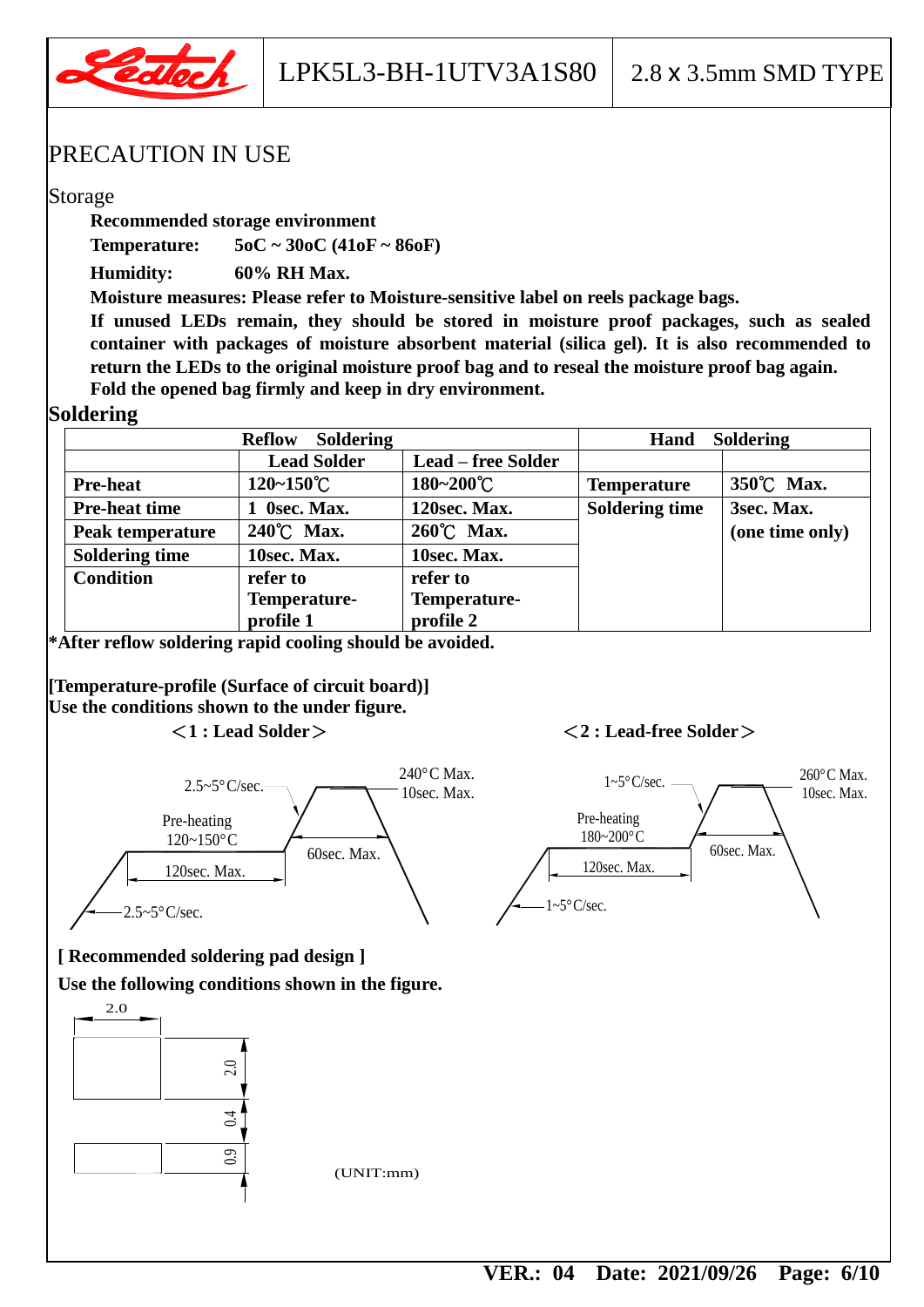

LPK5L3-BH-1UTV3A1S80 2.8 x 3.5mm SMD TYPE

#### PRECAUTION IN USE

#### Storage

**Recommended storage environment**

**Temperature: 5oC ~ 30oC (41oF ~ 86oF)**

**Humidity: 60% RH Max.**

**Moisture measures: Please refer to Moisture-sensitive label on reels package bags.**

**If unused LEDs remain, they should be stored in moisture proof packages, such as sealed container with packages of moisture absorbent material (silica gel). It is also recommended to return the LEDs to the original moisture proof bag and to reseal the moisture proof bag again. Fold the opened bag firmly and keep in dry environment.**

#### **Soldering**

|                       | <b>Soldering</b><br><b>Reflow</b> |                           | Hand                  | <b>Soldering</b> |
|-----------------------|-----------------------------------|---------------------------|-----------------------|------------------|
|                       | <b>Lead Solder</b>                | <b>Lead – free Solder</b> |                       |                  |
| <b>Pre-heat</b>       | $120 - 150^{\circ}$ C             | 180~200°C                 | <b>Temperature</b>    | 350°C Max.       |
| <b>Pre-heat time</b>  | 1 Osec. Max.                      | 120sec. Max.              | <b>Soldering time</b> | 3sec. Max.       |
| Peak temperature      | 240°C Max.                        | 260°C Max.                |                       | (one time only)  |
| <b>Soldering time</b> | 10sec. Max.                       | 10sec. Max.               |                       |                  |
| <b>Condition</b>      | refer to                          | refer to                  |                       |                  |
|                       | Temperature-                      | Temperature-              |                       |                  |
|                       | profile 1                         | profile 2                 |                       |                  |

**\*After reflow soldering rapid cooling should be avoided.**

**[Temperature-profile (Surface of circuit board)] Use the conditions shown to the under figure.**

#### <**1 : Lead Solder**><**2 : Lead-free Solder**>



120sec. Max. 60sec. Max. Pre-heating 180~200°C  $1 \sim 5\degree \text{C/sec.}$  260 $\degree \text{C Max.}$ 10sec. Max.

 $\sim 5^{\circ}$ C/sec.

#### **[ Recommended soldering pad design ]**

**Use the following conditions shown in the figure.**

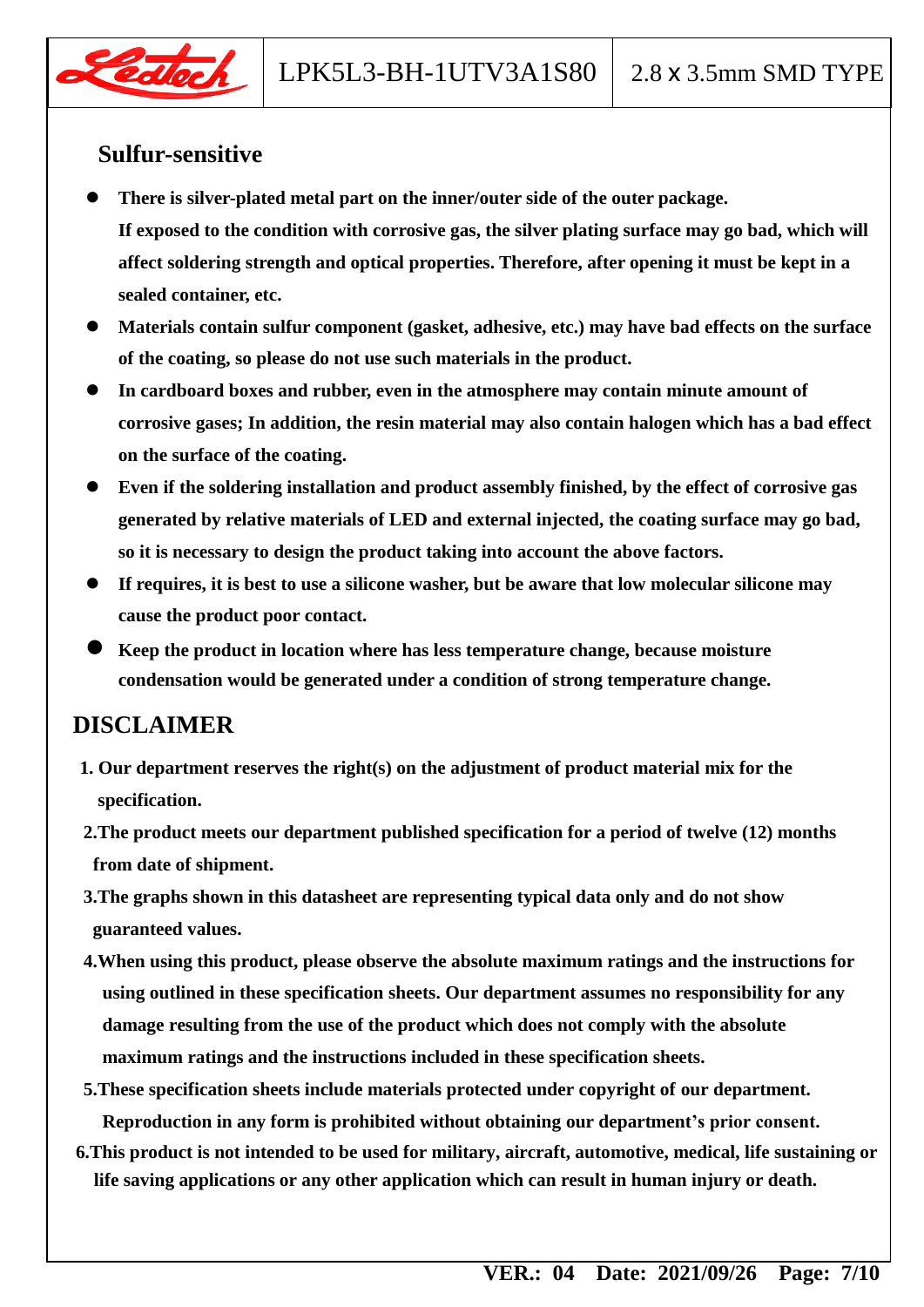## **Sulfur-sensitive**

- **There is silver-plated metal part on the inner/outer side of the outer package. If exposed to the condition with corrosive gas, the silver plating surface may go bad, which will affect soldering strength and optical properties. Therefore, after opening it must be kept in a sealed container, etc.**
- **Materials contain sulfur component (gasket, adhesive, etc.) may have bad effects on the surface of the coating, so please do not use such materials in the product.**
- **In cardboard boxes and rubber, even in the atmosphere may contain minute amount of corrosive gases; In addition, the resin material may also contain halogen which has a bad effect on the surface of the coating.**
- **Even if the soldering installation and product assembly finished, by the effect of corrosive gas generated by relative materials of LED and external injected, the coating surface may go bad, so it is necessary to design the product taking into account the above factors.**
- **If requires, it is best to use a silicone washer, but be aware that low molecular silicone may cause the product poor contact.**
- **Keep the product in location where has less temperature change, because moisture condensation would be generated under a condition of strong temperature change.**

### **DISCLAIMER**

- **1. Our department reserves the right(s) on the adjustment of product material mix for the specification.**
- **2.The product meets our department published specification for a period of twelve (12) months from date of shipment.**
- **3.The graphs shown in this datasheet are representing typical data only and do not show guaranteed values.**
- **4.When using this product, please observe the absolute maximum ratings and the instructions for using outlined in these specification sheets. Our department assumes no responsibility for any damage resulting from the use of the product which does not comply with the absolute maximum ratings and the instructions included in these specification sheets.**
- **5.These specification sheets include materials protected under copyright of our department. Reproduction in any form is prohibited without obtaining our department's prior consent.**
- **6.This product is not intended to be used for military, aircraft, automotive, medical, life sustaining or life saving applications or any other application which can result in human injury or death.**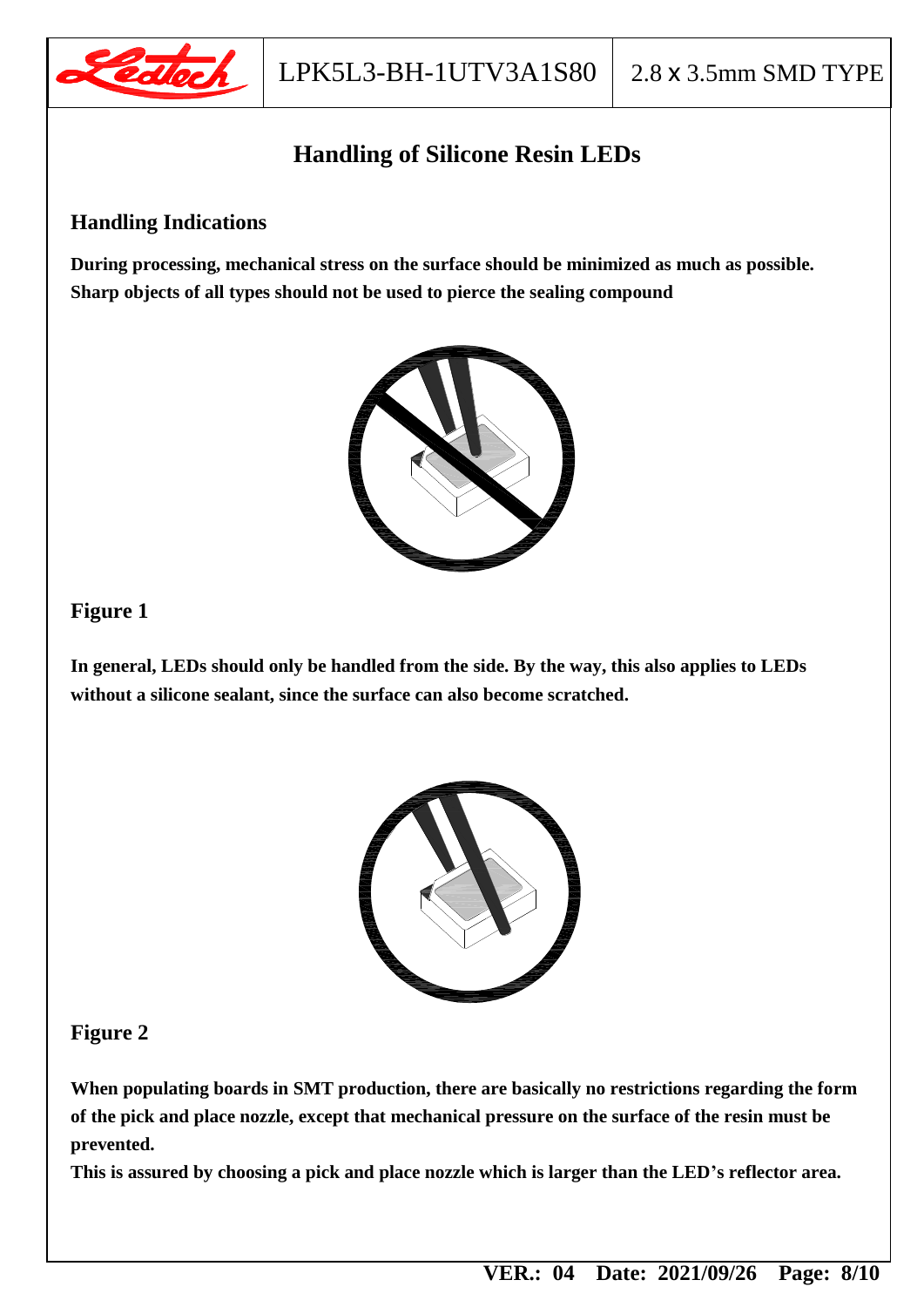

## **Handling of Silicone Resin LEDs**

#### **Handling Indications**

**During processing, mechanical stress on the surface should be minimized as much as possible. Sharp objects of all types should not be used to pierce the sealing compound**



#### **Figure 1**

**In general, LEDs should only be handled from the side. By the way, this also applies to LEDs without a silicone sealant, since the surface can also become scratched.**



#### **Figure 2**

**When populating boards in SMT production, there are basically no restrictions regarding the form of the pick and place nozzle, except that mechanical pressure on the surface of the resin must be prevented.**

**This is assured by choosing a pick and place nozzle which is larger than the LED's reflector area.**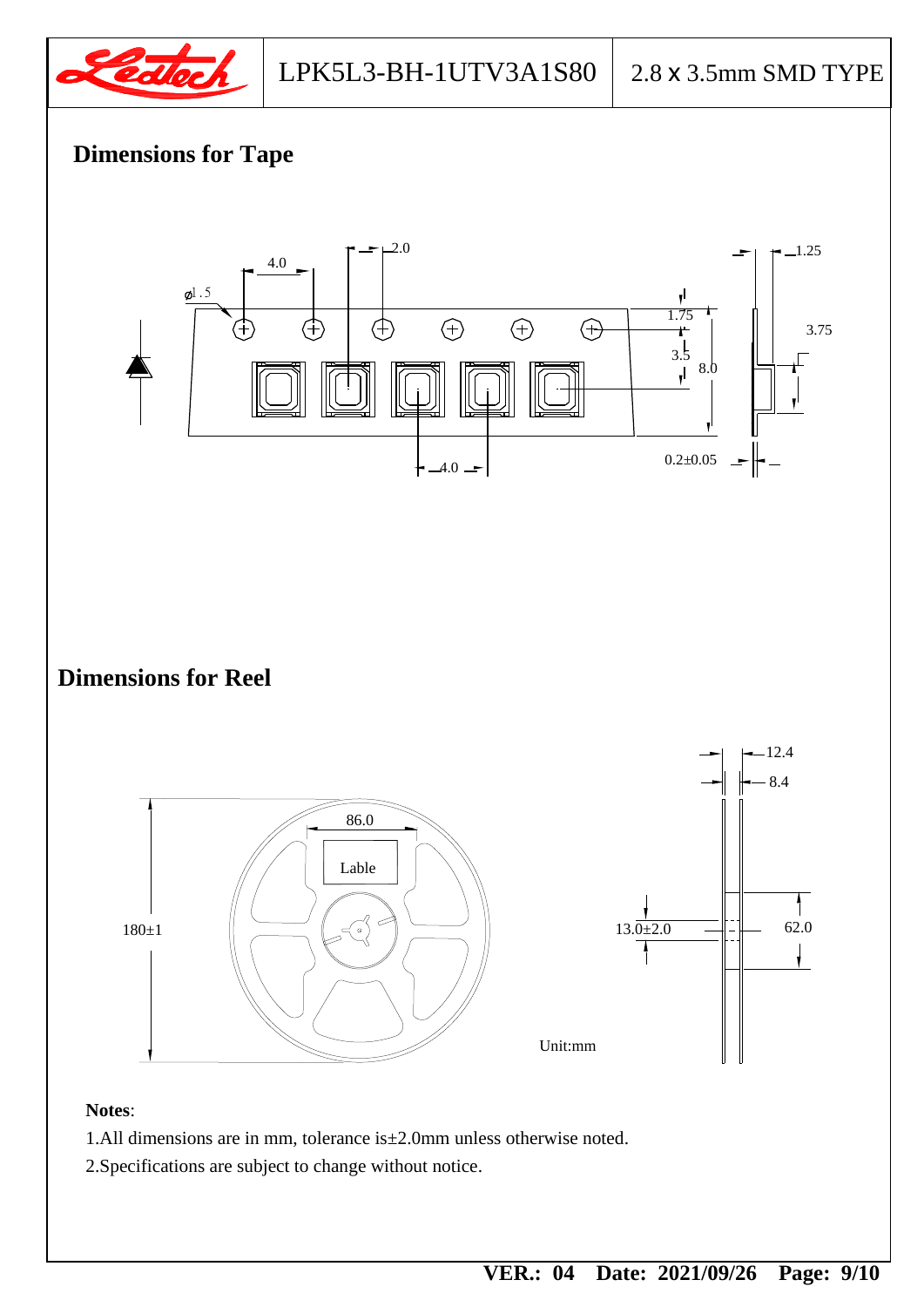

## **Dimensions for Tape**



2.Specifications are subject to change without notice.